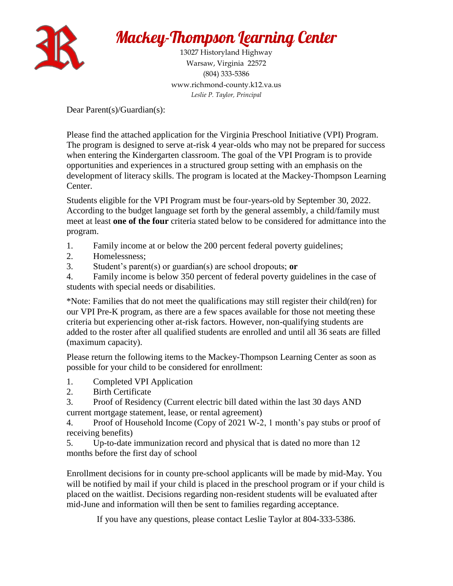

 Warsaw, Virginia 22572 (804) 333-5386 www.richmond-county.k12.va.us 13027 Historyland Highway *Leslie P. Taylor, Principal* 

Dear Parent(s)/Guardian(s):

Please find the attached application for the Virginia Preschool Initiative (VPI) Program. The program is designed to serve at-risk 4 year-olds who may not be prepared for success when entering the Kindergarten classroom. The goal of the VPI Program is to provide opportunities and experiences in a structured group setting with an emphasis on the development of literacy skills. The program is located at the Mackey-Thompson Learning Center.

Students eligible for the VPI Program must be four-years-old by September 30, 2022. According to the budget language set forth by the general assembly, a child/family must meet at least **one of the four** criteria stated below to be considered for admittance into the program.

- 1. Family income at or below the 200 percent federal poverty guidelines;
- 2. Homelessness;
- 3. Student's parent(s) or guardian(s) are school dropouts; **or**

4. Family income is below 350 percent of federal poverty guidelines in the case of students with special needs or disabilities.

 our VPI Pre-K program, as there are a few spaces available for those not meeting these \*Note: Families that do not meet the qualifications may still register their child(ren) for criteria but experiencing other at-risk factors. However, non-qualifying students are added to the roster after all qualified students are enrolled and until all 36 seats are filled (maximum capacity).

Please return the following items to the Mackey-Thompson Learning Center as soon as possible for your child to be considered for enrollment:

- 1. Completed VPI Application
- 2. Birth Certificate

3. Proof of Residency (Current electric bill dated within the last 30 days AND current mortgage statement, lease, or rental agreement)

4. Proof of Household Income (Copy of 2021 W-2, 1 month's pay stubs or proof of receiving benefits)

5. Up-to-date immunization record and physical that is dated no more than 12 months before the first day of school

Enrollment decisions for in county pre-school applicants will be made by mid-May. You will be notified by mail if your child is placed in the preschool program or if your child is placed on the waitlist. Decisions regarding non-resident students will be evaluated after mid-June and information will then be sent to families regarding acceptance.

If you have any questions, please contact Leslie Taylor at 804-333-5386.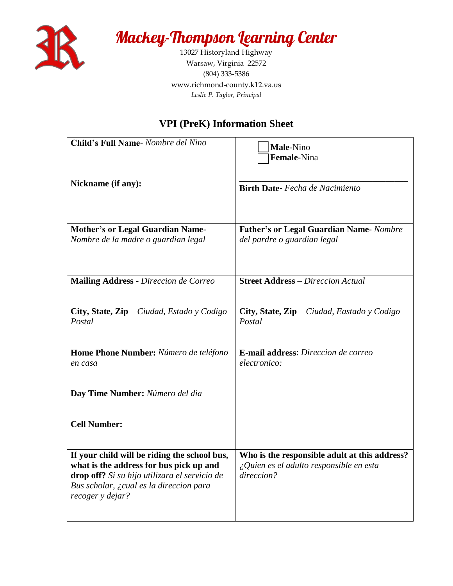

 Warsaw, Virginia 22572 (804) 333-5386 www.richmond-county.k12.va.us 13027 Historyland Highway *Leslie P. Taylor, Principal* 

## **VPI (PreK) Information Sheet**

| Child's Full Name- Nombre del Nino                                                      | Male-Nino                                                                                       |
|-----------------------------------------------------------------------------------------|-------------------------------------------------------------------------------------------------|
|                                                                                         | Female-Nina                                                                                     |
| Nickname (if any):                                                                      | <b>Birth Date-</b> Fecha de Nacimiento                                                          |
|                                                                                         |                                                                                                 |
|                                                                                         |                                                                                                 |
| <b>Mother's or Legal Guardian Name-</b><br>Nombre de la madre o guardian legal          | <b>Father's or Legal Guardian Name-</b> Nombre<br>del pardre o guardian legal                   |
|                                                                                         |                                                                                                 |
|                                                                                         |                                                                                                 |
| Mailing Address - Direccion de Correo                                                   | <b>Street Address</b> - Direccion Actual                                                        |
|                                                                                         |                                                                                                 |
| City, State, $\mathbf{Zip} - Ci$ udad, Estado y Codigo<br>Postal                        | City, State, $\mathbf{Zip} - \mathbf{C} \cdot \mathbf{U}$ Eastado y Codigo<br>Postal            |
|                                                                                         |                                                                                                 |
| Home Phone Number: Número de teléfono                                                   | <b>E-mail address:</b> Direccion de correo                                                      |
| en casa                                                                                 | electronico:                                                                                    |
|                                                                                         |                                                                                                 |
| Day Time Number: Número del dia                                                         |                                                                                                 |
|                                                                                         |                                                                                                 |
| <b>Cell Number:</b>                                                                     |                                                                                                 |
|                                                                                         |                                                                                                 |
| If your child will be riding the school bus,<br>what is the address for bus pick up and | Who is the responsible adult at this address?<br>$\zeta$ Quien es el adulto responsible en esta |
| drop off? Si su hijo utilizara el servicio de                                           | direccion?                                                                                      |
| Bus scholar, ¿cual es la direccion para<br>recoger y dejar?                             |                                                                                                 |
|                                                                                         |                                                                                                 |
|                                                                                         |                                                                                                 |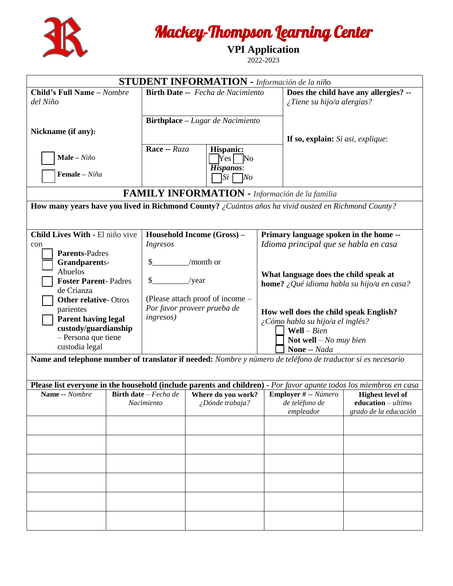

**VPI Application** 

2022-2023

|                                                                                                             |                                                     | <b>STUDENT INFORMATION</b> - Información de la niño             |                                                                            |                                                                                 |                                                                                                                    |
|-------------------------------------------------------------------------------------------------------------|-----------------------------------------------------|-----------------------------------------------------------------|----------------------------------------------------------------------------|---------------------------------------------------------------------------------|--------------------------------------------------------------------------------------------------------------------|
| Child's Full Name - Nombre<br>del Niño                                                                      | Birth Date -- Fecha de Nacimiento                   |                                                                 | Does the child have any allergies? --<br>$\zeta$ Tiene su hijo/a alergias? |                                                                                 |                                                                                                                    |
| Nickname (if any):                                                                                          |                                                     | <b>Birthplace</b> – Lugar de Nacimiento                         |                                                                            |                                                                                 |                                                                                                                    |
| Male - $Ni\tilde{n}o$<br>Female - Niña                                                                      | Race -- Raza                                        | <b>Hispanic:</b><br>Yes No<br>Hispanos:                         |                                                                            | If so, explain: Si asi, explique:                                               |                                                                                                                    |
|                                                                                                             |                                                     | $\exists s_i \Box$ No                                           |                                                                            |                                                                                 |                                                                                                                    |
|                                                                                                             |                                                     | <b>FAMILY INFORMATION</b> - Información de la familia           |                                                                            |                                                                                 |                                                                                                                    |
| How many years have you lived in Richmond County? ¿Cuántos años ha vivid ousted en Richmond County?         |                                                     |                                                                 |                                                                            |                                                                                 |                                                                                                                    |
|                                                                                                             |                                                     |                                                                 |                                                                            |                                                                                 |                                                                                                                    |
| Child Lives With - El niño vive<br>con                                                                      | Ingresos                                            | Household Income (Gross) -                                      |                                                                            | Primary language spoken in the home --<br>Idioma principal que se habla en casa |                                                                                                                    |
| <b>Parents-Padres</b>                                                                                       |                                                     | /month or                                                       |                                                                            |                                                                                 |                                                                                                                    |
| <b>Grandparents-</b><br>Abuelos                                                                             |                                                     |                                                                 |                                                                            |                                                                                 |                                                                                                                    |
| <b>Foster Parent-Padres</b>                                                                                 |                                                     | /year                                                           |                                                                            | What language does the child speak at                                           | <b>home?</b> ¿Qué idioma habla su hijo/a en casa?                                                                  |
| de Crianza                                                                                                  |                                                     |                                                                 |                                                                            |                                                                                 |                                                                                                                    |
| <b>Other relative-Otros</b><br>parientes                                                                    |                                                     | (Please attach proof of income –<br>Por favor proveer prueba de |                                                                            |                                                                                 |                                                                                                                    |
| <b>Parent having legal</b>                                                                                  | <i>ingresos</i> )                                   |                                                                 |                                                                            | How well does the child speak English?<br>¿Cómo habla su hijo/a el inglés?      |                                                                                                                    |
| custody/guardianship                                                                                        |                                                     |                                                                 |                                                                            | Well $-Bien$                                                                    |                                                                                                                    |
| - Persona que tiene                                                                                         |                                                     |                                                                 |                                                                            | Not well $-$ No muy bien                                                        |                                                                                                                    |
| custodia legal                                                                                              |                                                     |                                                                 |                                                                            | None -- Nada                                                                    |                                                                                                                    |
| Name and telephone number of translator if needed: Nombre y número de teléfono de traductor si es necesario |                                                     |                                                                 |                                                                            |                                                                                 |                                                                                                                    |
|                                                                                                             |                                                     |                                                                 |                                                                            |                                                                                 |                                                                                                                    |
| Name -- Nombre                                                                                              |                                                     |                                                                 |                                                                            |                                                                                 | Please list everyone in the household (include parents and children) - Por favor apunte todos los miembros en casa |
|                                                                                                             | <b>Birth date</b> $-$ <i>Fecha de</i><br>Nacimiento | Where do you work?<br>¿Dónde trabaja?                           |                                                                            | Employer # -- Número<br>de teléfono de                                          | <b>Highest level of</b><br>education $-$ ultimo                                                                    |
|                                                                                                             |                                                     |                                                                 |                                                                            | empleador                                                                       | grado de la educación                                                                                              |
|                                                                                                             |                                                     |                                                                 |                                                                            |                                                                                 |                                                                                                                    |
|                                                                                                             |                                                     |                                                                 |                                                                            |                                                                                 |                                                                                                                    |
|                                                                                                             |                                                     |                                                                 |                                                                            |                                                                                 |                                                                                                                    |
|                                                                                                             |                                                     |                                                                 |                                                                            |                                                                                 |                                                                                                                    |
|                                                                                                             |                                                     |                                                                 |                                                                            |                                                                                 |                                                                                                                    |
|                                                                                                             |                                                     |                                                                 |                                                                            |                                                                                 |                                                                                                                    |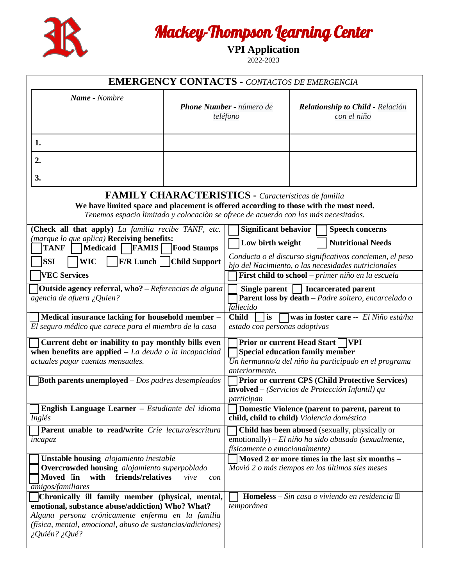

**VPI Application** 

2022-2023

|                                                                                                                                                                                                                                                |                                      | <b>EMERGENCY CONTACTS - CONTACTOS DE EMERGENCIA</b>                                   |                                                        |                                                                                                                                   |
|------------------------------------------------------------------------------------------------------------------------------------------------------------------------------------------------------------------------------------------------|--------------------------------------|---------------------------------------------------------------------------------------|--------------------------------------------------------|-----------------------------------------------------------------------------------------------------------------------------------|
| Name - Nombre                                                                                                                                                                                                                                  | Phone Number - número de<br>teléfono |                                                                                       | <b>Relationship to Child - Relación</b><br>con el niño |                                                                                                                                   |
| 1.                                                                                                                                                                                                                                             |                                      |                                                                                       |                                                        |                                                                                                                                   |
| 2.                                                                                                                                                                                                                                             |                                      |                                                                                       |                                                        |                                                                                                                                   |
| 3.                                                                                                                                                                                                                                             |                                      |                                                                                       |                                                        |                                                                                                                                   |
| We have limited space and placement is offered according to those with the most need.<br>Tenemos espacio limitado y colocación se ofrece de acuerdo con los más necesitados.                                                                   |                                      | <b>FAMILY CHARACTERISTICS - Características de familia</b>                            |                                                        |                                                                                                                                   |
| (Check all that apply) La familia recibe TANF, etc.                                                                                                                                                                                            |                                      | <b>Significant behavior</b>                                                           |                                                        | <b>Speech concerns</b>                                                                                                            |
| (marque lo que aplica) Receiving benefits:<br><b>FAMIS</b><br><b>TANF</b><br><b>Medicaid</b>                                                                                                                                                   | <b>Food Stamps</b>                   | Low birth weight                                                                      |                                                        | <b>Nutritional Needs</b>                                                                                                          |
| <b>SSI</b><br><b>WIC</b>                                                                                                                                                                                                                       | <b>F/R Lunch   Child Support</b>     |                                                                                       |                                                        | Conducta o el discurso significativos conciemen, el peso<br>bjo del Nacimiento, o las necesidades nutricionales                   |
| <b>VEC Services</b>                                                                                                                                                                                                                            |                                      |                                                                                       |                                                        | First child to school - primer niño en la escuela                                                                                 |
| <b>Outside agency referral, who?</b> – Referencias de alguna<br>$\overline{a}$ gencia de afuera ¿Quien?                                                                                                                                        |                                      | Single parent<br>fallecido                                                            |                                                        | Incarcerated parent<br>Parent loss by death - Padre soltero, encarcelado o                                                        |
| Medical insurance lacking for household member -<br>El seguro médico que carece para el miembro de la casa                                                                                                                                     |                                      | <b>Child</b><br>$\exists$ is $\Box$<br>estado con personas adoptivas                  |                                                        | <b>was in foster care --</b> $El Niño está/ha$                                                                                    |
| Current debt or inability to pay monthly bills even<br>when benefits are applied $-La$ deuda o la incapacidad<br>actuales pagar cuentas mensuales.                                                                                             |                                      | Prior or current Head Start ∏VPI<br>Special education family member<br>anteriormente. |                                                        | $\overline{Un}$ hermanno/a del niño ha participado en el programa                                                                 |
| <b>Both parents unemployed</b> $-Dos$ padres desempleados                                                                                                                                                                                      |                                      | <b>involved</b> – (Servicios de Protección Infantil) qu<br>participan                 |                                                        | <b>Prior or current CPS (Child Protective Services)</b>                                                                           |
| English Language Learner - Estudiante del idioma<br>Inglés                                                                                                                                                                                     |                                      | child, child to child) Violencia doméstica                                            |                                                        | Domestic Violence (parent to parent, parent to                                                                                    |
| Parent unable to read/write Crie lectura/escritura<br>incapaz                                                                                                                                                                                  |                                      | físicamente o emocionalmente)                                                         |                                                        | <b>Child has been abused</b> (sexually, physically or<br>$\overline{\text{emotonally}}$ ) – El niño ha sido abusado (sexualmente, |
| <b>Unstable housing</b> alojamiento inestable<br>Overcrowded housing alojamiento superpoblado<br>friends/relatives<br>Moved in with<br><i>amigos/familiares</i>                                                                                | vive<br>con                          | Movió 2 o más tiempos en los últimos sies meses                                       |                                                        | Moved 2 or more times in the last six months -                                                                                    |
| Chronically ill family member (physical, mental,<br>emotional, substance abuse/addiction) Who? What?<br>Alguna persona crónicamente enferma en la familia<br>(física, mental, emocional, abuso de sustancias/adiciones)<br>$i$ Quién? $i$ Qué? |                                      | temporánea                                                                            |                                                        | <b>Homeless</b> – Sin casa o viviendo en residencia                                                                               |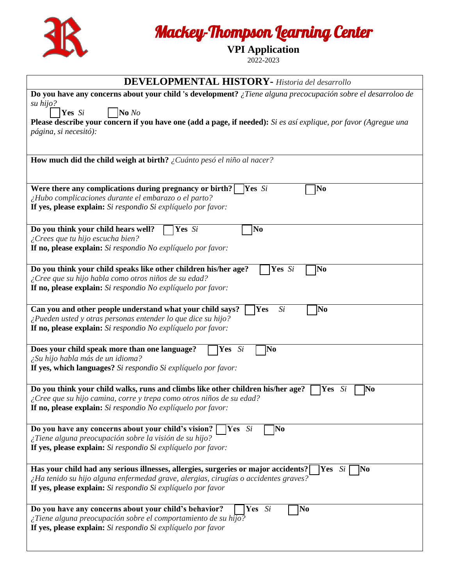

**VPI Application** 

2022-2023

| <b>DEVELOPMENTAL HISTORY</b> - Historia del desarrollo                                                                                                                                                                                                                        |
|-------------------------------------------------------------------------------------------------------------------------------------------------------------------------------------------------------------------------------------------------------------------------------|
| Do you have any concerns about your child 's development? $\chi$ Tiene alguna precocupación sobre el desarroloo de<br>su hijo?<br>No<br>Yes Si                                                                                                                                |
| Please describe your concern if you have one (add a page, if needed): Si es así explique, por favor (Agregue una<br>página, si necesitó):                                                                                                                                     |
| How much did the child weigh at birth? $\zeta$ Cuánto pesó el niño al nacer?                                                                                                                                                                                                  |
| Were there any complications during pregnancy or birth?<br>Yes Si<br>N <sub>0</sub><br>¿Hubo complicaciones durante el embarazo o el parto?<br>If yes, please explain: Si respondio Si explíquelo por favor:                                                                  |
| Do you think your child hears well?<br>N <sub>0</sub><br>Yes Si<br>¿Crees que tu hijo escucha bien?<br>If no, please explain: Si respondio No explíquelo por favor:                                                                                                           |
| Do you think your child speaks like other children his/her age?<br>Yes Si<br>N <sub>0</sub><br>¿Cree que su hijo habla como otros niños de su edad?<br>If no, please explain: Si respondio No explíquelo por favor:                                                           |
| Can you and other people understand what your child says?<br>Yes<br>No<br>Si<br>¿Pueden usted y otras personas entender lo que dice su hijo?<br>If no, please explain: Si respondio No explíquelo por favor:                                                                  |
| Does your child speak more than one language?<br>Yes Si<br>No<br>¿Su hijo habla más de un idioma?<br>If yes, which languages? Si respondio Si explíquelo por favor:                                                                                                           |
| Do you think your child walks, runs and climbs like other children his/her age?<br>No<br>Yes<br>Si<br>$\zeta$ Cree que su hijo camina, corre y trepa como otros niños de su edad?<br><b>If no, please explain:</b> Si respondio No explíquelo por favor:                      |
| Do you have any concerns about your child's vision?<br>Yes Si<br>No<br>¿Tiene alguna preocupación sobre la visión de su hijo?<br>If yes, please explain: Si respondio Si explíquelo por favor:                                                                                |
| Has your child had any serious illnesses, allergies, surgeries or major accidents?<br>Yes Si<br>$\mathbf{N}\mathbf{0}$<br>¿Ha tenido su hijo alguna enfermedad grave, alergias, cirugías o accidentes graves?<br>If yes, please explain: Si respondio Si explíquelo por favor |
| No<br>Do you have any concerns about your child's behavior?<br>Yes Si<br>¿Tiene alguna preocupación sobre el comportamiento de su hijo?<br>If yes, please explain: Si respondio Si explíquelo por favor                                                                       |